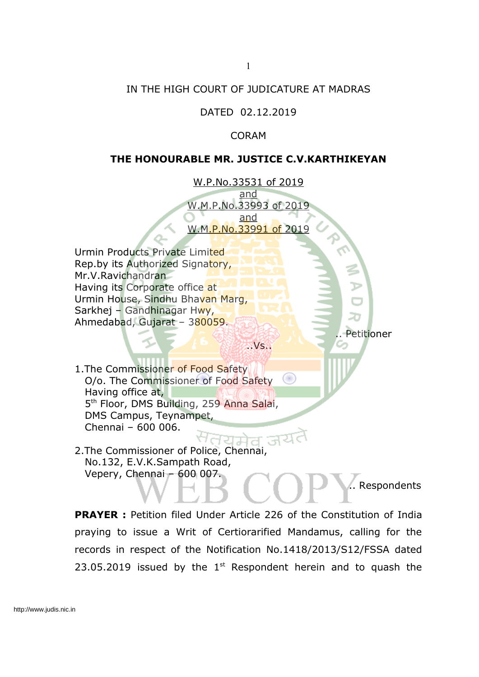## IN THE HIGH COURT OF JUDICATURE AT MADRAS

DATED 02.12.2019

CORAM

## **THE HONOURABLE MR. JUSTICE C.V.KARTHIKEYAN**

W.P.No.33531 of 2019 and W.M.P.No.33993 of 2019 and W.M.P.No.33991 of 2019

..Vs..

Urmin Products Private Limited Rep.by its Authorized Signatory, Mr.V.Ravichandran Having its Corporate office at Urmin House, Sindhu Bhavan Marg, Sarkhej – Gandhinagar Hwy, Ahmedabad, Gujarat – 380059.

```
Petitioner
```
1.The Commissioner of Food Safety O/o. The Commissioner of Food Safety Having office at, 5<sup>th</sup> Floor, DMS Building, 259 Anna Salai, DMS Campus, Teynampet, Chennai – 600 006.

2.The Commissioner of Police, Chennai, No.132, E.V.K.Sampath Road, Vepery, Chennai – 600 007.

Respondents

**PRAYER :** Petition filed Under Article 226 of the Constitution of India praying to issue a Writ of Certiorarified Mandamus, calling for the records in respect of the Notification No.1418/2013/S12/FSSA dated 23.05.2019 issued by the  $1<sup>st</sup>$  Respondent herein and to quash the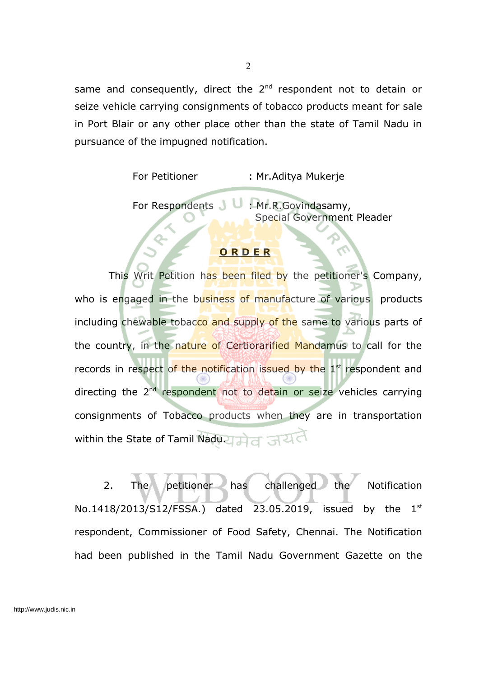same and consequently, direct the  $2^{nd}$  respondent not to detain or seize vehicle carrying consignments of tobacco products meant for sale in Port Blair or any other place other than the state of Tamil Nadu in pursuance of the impugned notification.

For Petitioner : Mr.Aditya Mukerje

For Respondents **U** : Mr.R.Govindasamy, Special Government Pleader

## **O R D E R**

This Writ Petition has been filed by the petitioner's Company, who is engaged in the business of manufacture of various products including chewable tobacco and supply of the same to various parts of the country, in the nature of Certiorarified Mandamus to call for the records in respect of the notification issued by the 1<sup>st</sup> respondent and directing the 2<sup>nd</sup> respondent not to detain or seize vehicles carrying consignments of Tobacco products when they are in transportation within the State of Tamil Nadu. मेत जयत

2. The petitioner has challenged the Notification No.1418/2013/S12/FSSA.) dated 23.05.2019, issued by the  $1^{st}$ respondent, Commissioner of Food Safety, Chennai. The Notification had been published in the Tamil Nadu Government Gazette on the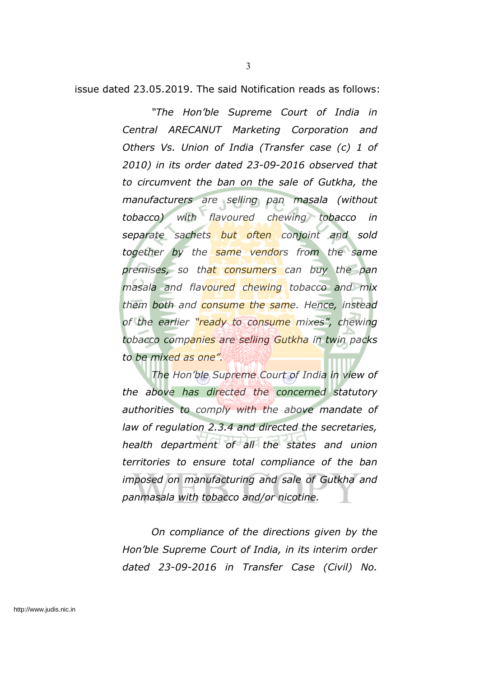issue dated 23.05.2019. The said Notification reads as follows:

*"The Hon'ble Supreme Court of India in Central ARECANUT Marketing Corporation and Others Vs. Union of India (Transfer case (c) 1 of 2010) in its order dated 23-09-2016 observed that to circumvent the ban on the sale of Gutkha, the manufacturers are selling pan masala (without tobacco) with flavoured chewing tobacco in separate sachets but often conjoint and sold together by the same vendors from the same premises, so that consumers can buy the pan masala and flavoured chewing tobacco and mix them both and consume the same. Hence, instead of the earlier "ready to consume mixes", chewing tobacco companies are selling Gutkha in twin packs to be mixed as one".*

*The Hon'ble Supreme Court of India in view of the above has directed the concerned statutory authorities to comply with the above mandate of law of regulation 2.3.4 and directed the secretaries, health department of all the states and union territories to ensure total compliance of the ban imposed on manufacturing and sale of Gutkha and panmasala with tobacco and/or nicotine.*

*On compliance of the directions given by the Hon'ble Supreme Court of India, in its interim order dated 23-09-2016 in Transfer Case (Civil) No.*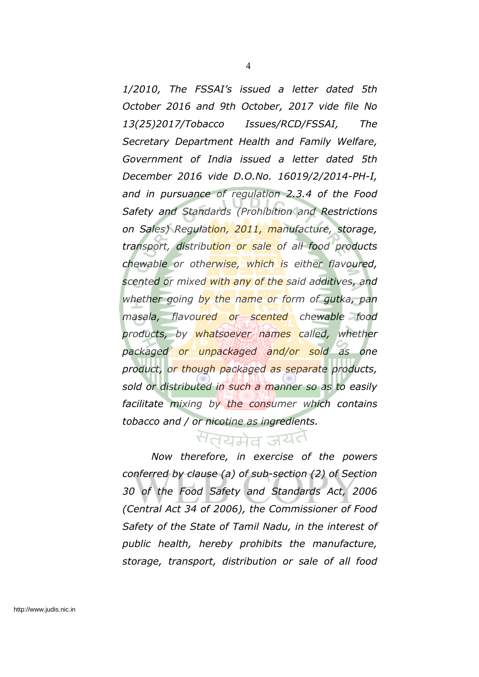*1/2010, The FSSAI's issued a letter dated 5th October 2016 and 9th October, 2017 vide file No 13(25)2017/Tobacco Issues/RCD/FSSAI, The Secretary Department Health and Family Welfare, Government of India issued a letter dated 5th December 2016 vide D.O.No. 16019/2/2014-PH-I, and in pursuance of regulation 2.3.4 of the Food Safety and Standards (Prohibition and Restrictions on Sales) Regulation, 2011, manufacture, storage, transport, distribution or sale of all food products chewable or otherwise, which is either flavoured, scented or mixed with any of the said additives, and whether going by the name or form of gutka, pan masala, flavoured or scented chewable food products, by whatsoever names called, whether packaged or unpackaged and/or sold as one product, or though packaged as separate products, sold or distributed in such a manner so as to easily facilitate mixing by the consumer which contains tobacco and / or nicotine as ingredients.*

## सतयमेव जयत

*Now therefore, in exercise of the powers conferred by clause (a) of sub-section (2) of Section 30 of the Food Safety and Standards Act, 2006 (Central Act 34 of 2006), the Commissioner of Food Safety of the State of Tamil Nadu, in the interest of public health, hereby prohibits the manufacture, storage, transport, distribution or sale of all food*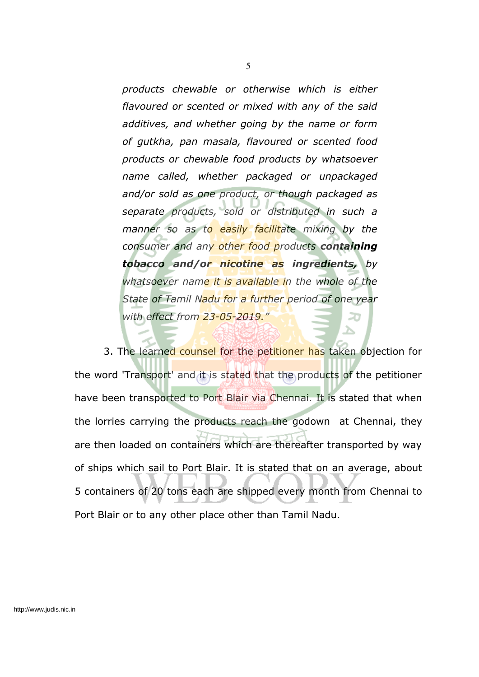*products chewable or otherwise which is either flavoured or scented or mixed with any of the said additives, and whether going by the name or form of gutkha, pan masala, flavoured or scented food products or chewable food products by whatsoever name called, whether packaged or unpackaged and/or sold as one product, or though packaged as separate products, sold or distributed in such a manner so as to easily facilitate mixing by the consumer and any other food products containing tobacco and/or nicotine as ingredients, by whatsoever name it is available in the whole of the State of Tamil Nadu for a further period of one year with effect from 23-05-2019."*

3. The learned counsel for the petitioner has taken objection for the word 'Transport' and it is stated that the products of the petitioner have been transported to Port Blair via Chennai. It is stated that when the lorries carrying the products reach the godown at Chennai, they are then loaded on containers which are thereafter transported by way of ships which sail to Port Blair. It is stated that on an average, about 5 containers of 20 tons each are shipped every month from Chennai to Port Blair or to any other place other than Tamil Nadu.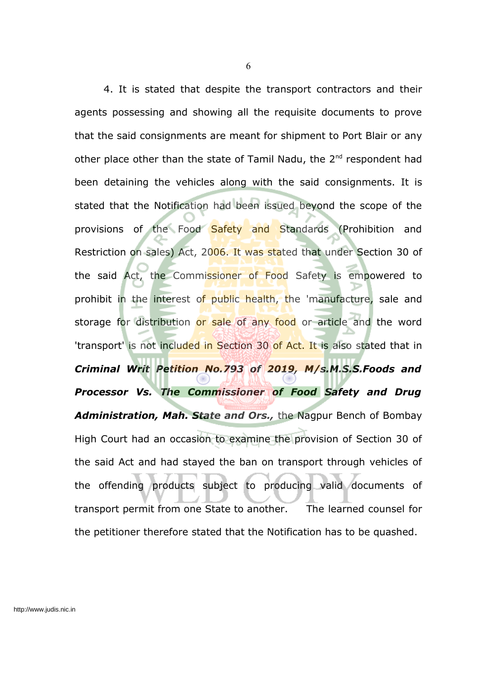4. It is stated that despite the transport contractors and their agents possessing and showing all the requisite documents to prove that the said consignments are meant for shipment to Port Blair or any other place other than the state of Tamil Nadu, the 2<sup>nd</sup> respondent had been detaining the vehicles along with the said consignments. It is stated that the Notification had been issued beyond the scope of the provisions of the Food Safety and Standards (Prohibition and Restriction on sales) Act, 2006. It was stated that under Section 30 of the said Act, the Commissioner of Food Safety is empowered to prohibit in the interest of public health, the 'manufacture, sale and storage for distribution or sale of any food or article and the word 'transport' is not included in Section 30 of Act. It is also stated that in *Criminal Writ Petition No.793 of 2019, M/s.M.S.S.Foods and Processor Vs. The Commissioner of Food Safety and Drug Administration, Mah. State and Ors.,* the Nagpur Bench of Bombay High Court had an occasion to examine the provision of Section 30 of the said Act and had stayed the ban on transport through vehicles of the offending products subject to producing valid documents of transport permit from one State to another. The learned counsel for the petitioner therefore stated that the Notification has to be quashed.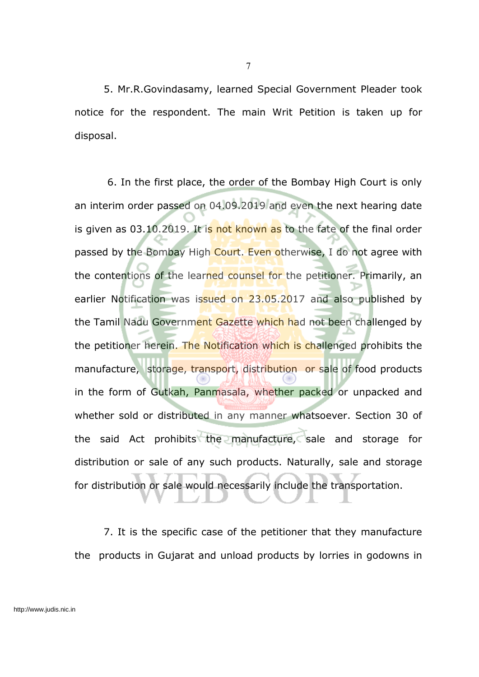5. Mr.R.Govindasamy, learned Special Government Pleader took notice for the respondent. The main Writ Petition is taken up for disposal.

6. In the first place, the order of the Bombay High Court is only an interim order passed on 04.09.2019 and even the next hearing date is given as 03.10.2019. It is not known as to the fate of the final order passed by the Bombay High Court. Even otherwise, I do not agree with the contentions of the learned counsel for the petitioner. Primarily, an earlier Notification was issued on 23.05.2017 and also published by the Tamil Nadu Government Gazette which had not been challenged by the petitioner herein. The Notification which is challenged prohibits the manufacture, storage, transport, distribution or sale of food products in the form of Gutkah, Panmasala, whether packed or unpacked and whether sold or distributed in any manner whatsoever. Section 30 of the said Act prohibits the manufacture, sale and storage for distribution or sale of any such products. Naturally, sale and storage for distribution or sale would necessarily include the transportation.

7. It is the specific case of the petitioner that they manufacture the products in Gujarat and unload products by lorries in godowns in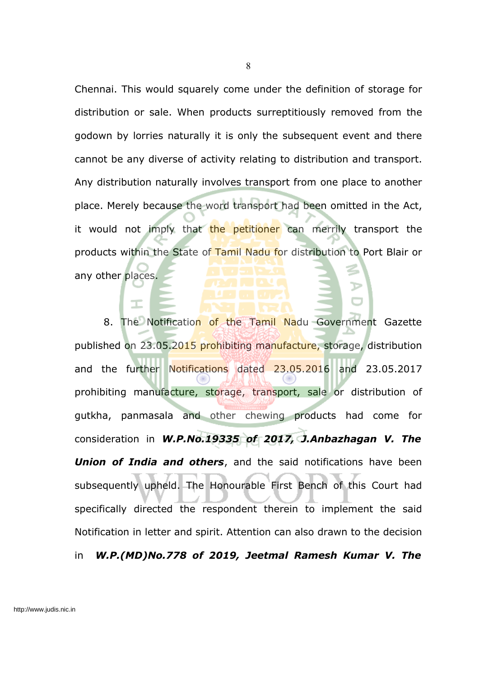Chennai. This would squarely come under the definition of storage for distribution or sale. When products surreptitiously removed from the godown by lorries naturally it is only the subsequent event and there cannot be any diverse of activity relating to distribution and transport. Any distribution naturally involves transport from one place to another place. Merely because the word transport had been omitted in the Act, it would not imply that the petitioner can merrily transport the products within the State of Tamil Nadu for distribution to Port Blair or any other places.

8. The Notification of the Tamil Nadu Government Gazette published on 23.05.2015 prohibiting manufacture, storage, distribution and the further Notifications dated 23.05.2016 and 23.05.2017 prohibiting manufacture, storage, transport, sale or distribution of gutkha, panmasala and other chewing products had come for consideration in *W.P.No.19335 of 2017, J.Anbazhagan V. The Union of India and others*, and the said notifications have been subsequently upheld. The Honourable First Bench of this Court had specifically directed the respondent therein to implement the said Notification in letter and spirit. Attention can also drawn to the decision in *W.P.(MD)No.778 of 2019, Jeetmal Ramesh Kumar V. The*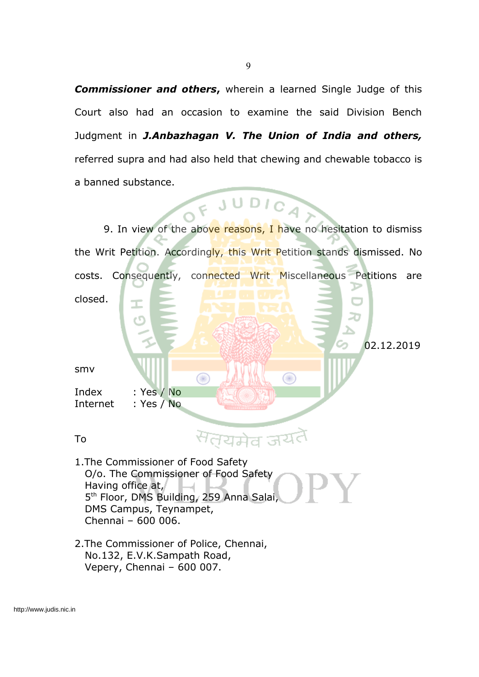*Commissioner and others***,** wherein a learned Single Judge of this Court also had an occasion to examine the said Division Bench Judgment in *J.Anbazhagan V. The Union of India and others,* referred supra and had also held that chewing and chewable tobacco is a banned substance.



9